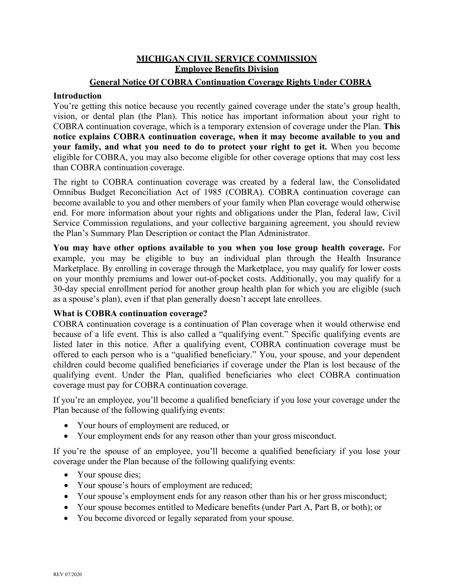### **MICHIGAN CIVIL SERVICE COMMISSION Employee Benefits Division**

### **General Notice Of COBRA Continuation Coverage Rights Under COBRA**

#### **Introduction**

You're getting this notice because you recently gained coverage under the state's group health, vision, or dental plan (the Plan). This notice has important information about your right to COBRA continuation coverage, which is a temporary extension of coverage under the Plan. **This notice explains COBRA continuation coverage, when it may become available to you and your family, and what you need to do to protect your right to get it.** When you become eligible for COBRA, you may also become eligible for other coverage options that may cost less than COBRA continuation coverage.

The right to COBRA continuation coverage was created by a federal law, the Consolidated Omnibus Budget Reconciliation Act of 1985 (COBRA). COBRA continuation coverage can become available to you and other members of your family when Plan coverage would otherwise end. For more information about your rights and obligations under the Plan, federal law, Civil Service Commission regulations, and your collective bargaining agreement, you should review the Plan's Summary Plan Description or contact the Plan Administrator.

**You may have other options available to you when you lose group health coverage.** For example, you may be eligible to buy an individual plan through the Health Insurance Marketplace. By enrolling in coverage through the Marketplace, you may qualify for lower costs on your monthly premiums and lower out-of-pocket costs. Additionally, you may qualify for a 30-day special enrollment period for another group health plan for which you are eligible (such as a spouse's plan), even if that plan generally doesn't accept late enrollees.

### **What is COBRA continuation coverage?**

COBRA continuation coverage is a continuation of Plan coverage when it would otherwise end because of a life event. This is also called a "qualifying event." Specific qualifying events are listed later in this notice. After a qualifying event, COBRA continuation coverage must be offered to each person who is a "qualified beneficiary." You, your spouse, and your dependent children could become qualified beneficiaries if coverage under the Plan is lost because of the qualifying event. Under the Plan, qualified beneficiaries who elect COBRA continuation coverage must pay for COBRA continuation coverage.

If you're an employee, you'll become a qualified beneficiary if you lose your coverage under the Plan because of the following qualifying events:

- Your hours of employment are reduced, or
- Your employment ends for any reason other than your gross misconduct.

If you're the spouse of an employee, you'll become a qualified beneficiary if you lose your coverage under the Plan because of the following qualifying events:

- Your spouse dies;
- Your spouse's hours of employment are reduced;
- Your spouse's employment ends for any reason other than his or her gross misconduct;
- Your spouse becomes entitled to Medicare benefits (under Part A, Part B, or both); or
- You become divorced or legally separated from your spouse.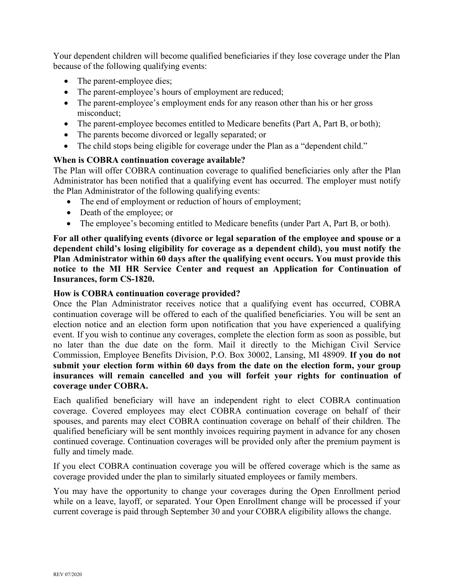Your dependent children will become qualified beneficiaries if they lose coverage under the Plan because of the following qualifying events:

- The parent-employee dies;
- The parent-employee's hours of employment are reduced;
- The parent-employee's employment ends for any reason other than his or her gross misconduct;
- The parent-employee becomes entitled to Medicare benefits (Part A, Part B, or both);
- The parents become divorced or legally separated; or
- The child stops being eligible for coverage under the Plan as a "dependent child."

### **When is COBRA continuation coverage available?**

The Plan will offer COBRA continuation coverage to qualified beneficiaries only after the Plan Administrator has been notified that a qualifying event has occurred. The employer must notify the Plan Administrator of the following qualifying events:

- The end of employment or reduction of hours of employment;
- Death of the employee; or
- The employee's becoming entitled to Medicare benefits (under Part A, Part B, or both).

**For all other qualifying events (divorce or legal separation of the employee and spouse or a dependent child's losing eligibility for coverage as a dependent child), you must notify the Plan Administrator within 60 days after the qualifying event occurs. You must provide this notice to the MI HR Service Center and request an Application for Continuation of Insurances, form CS-1820.** 

#### **How is COBRA continuation coverage provided?**

Once the Plan Administrator receives notice that a qualifying event has occurred, COBRA continuation coverage will be offered to each of the qualified beneficiaries. You will be sent an election notice and an election form upon notification that you have experienced a qualifying event. If you wish to continue any coverages, complete the election form as soon as possible, but no later than the due date on the form. Mail it directly to the Michigan Civil Service Commission, Employee Benefits Division, P.O. Box 30002, Lansing, MI 48909. **If you do not submit your election form within 60 days from the date on the election form, your group insurances will remain cancelled and you will forfeit your rights for continuation of coverage under COBRA.**

Each qualified beneficiary will have an independent right to elect COBRA continuation coverage. Covered employees may elect COBRA continuation coverage on behalf of their spouses, and parents may elect COBRA continuation coverage on behalf of their children. The qualified beneficiary will be sent monthly invoices requiring payment in advance for any chosen continued coverage. Continuation coverages will be provided only after the premium payment is fully and timely made.

If you elect COBRA continuation coverage you will be offered coverage which is the same as coverage provided under the plan to similarly situated employees or family members.

You may have the opportunity to change your coverages during the Open Enrollment period while on a leave, layoff, or separated. Your Open Enrollment change will be processed if your current coverage is paid through September 30 and your COBRA eligibility allows the change.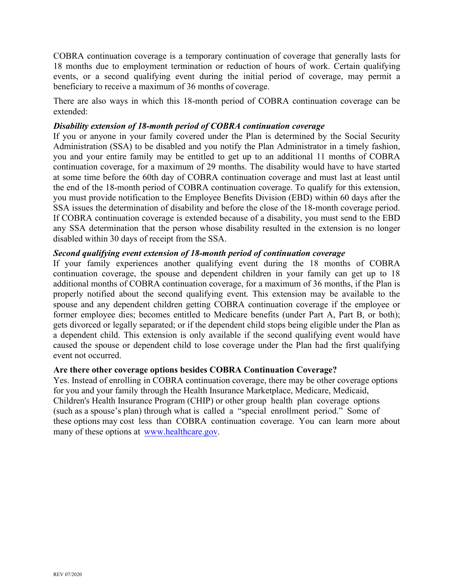COBRA continuation coverage is a temporary continuation of coverage that generally lasts for 18 months due to employment termination or reduction of hours of work. Certain qualifying events, or a second qualifying event during the initial period of coverage, may permit a beneficiary to receive a maximum of 36 months of coverage.

There are also ways in which this 18-month period of COBRA continuation coverage can be extended:

#### *Disability extension of 18-month period of COBRA continuation coverage*

If you or anyone in your family covered under the Plan is determined by the Social Security Administration (SSA) to be disabled and you notify the Plan Administrator in a timely fashion, you and your entire family may be entitled to get up to an additional 11 months of COBRA continuation coverage, for a maximum of 29 months. The disability would have to have started at some time before the 60th day of COBRA continuation coverage and must last at least until the end of the 18-month period of COBRA continuation coverage. To qualify for this extension, you must provide notification to the Employee Benefits Division (EBD) within 60 days after the SSA issues the determination of disability and before the close of the 18-month coverage period. If COBRA continuation coverage is extended because of a disability, you must send to the EBD any SSA determination that the person whose disability resulted in the extension is no longer disabled within 30 days of receipt from the SSA.

### *Second qualifying event extension of 18-month period of continuation coverage*

If your family experiences another qualifying event during the 18 months of COBRA continuation coverage, the spouse and dependent children in your family can get up to 18 additional months of COBRA continuation coverage, for a maximum of 36 months, if the Plan is properly notified about the second qualifying event. This extension may be available to the spouse and any dependent children getting COBRA continuation coverage if the employee or former employee dies; becomes entitled to Medicare benefits (under Part A, Part B, or both); gets divorced or legally separated; or if the dependent child stops being eligible under the Plan as a dependent child. This extension is only available if the second qualifying event would have caused the spouse or dependent child to lose coverage under the Plan had the first qualifying event not occurred.

#### **Are there other coverage options besides COBRA Continuation Coverage?**

Yes. Instead of enrolling in COBRA continuation coverage, there may be other coverage options for you and your family through the Health Insurance Marketplace, Medicare, Medicaid, Children's Health Insurance Program (CHIP) or other group health plan coverage options (such as a spouse's plan) through what is called a "special enrollment period." Some of these options may cost less than COBRA continuation coverage. You can learn more about many of these options at [www.healthcare.gov.](www.healthcare.gov)